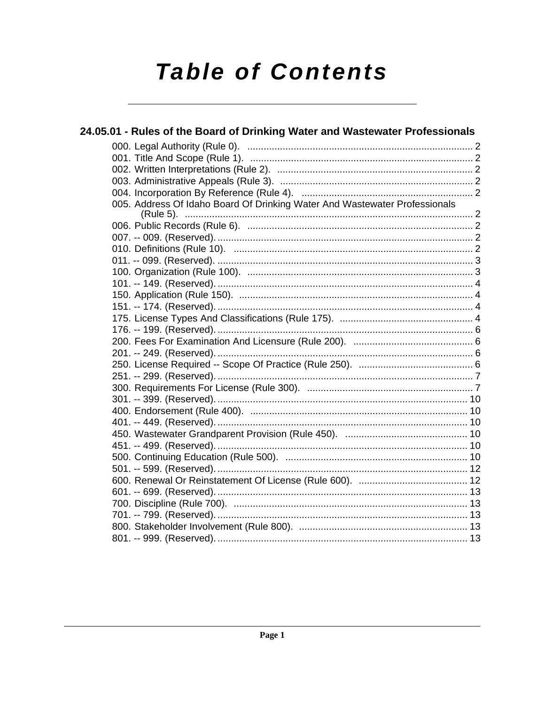# **Table of Contents**

| 24.05.01 - Rules of the Board of Drinking Water and Wastewater Professionals |  |
|------------------------------------------------------------------------------|--|
|                                                                              |  |
|                                                                              |  |
|                                                                              |  |
|                                                                              |  |
|                                                                              |  |
| 005. Address Of Idaho Board Of Drinking Water And Wastewater Professionals   |  |
|                                                                              |  |
|                                                                              |  |
|                                                                              |  |
|                                                                              |  |
|                                                                              |  |
|                                                                              |  |
|                                                                              |  |
|                                                                              |  |
|                                                                              |  |
|                                                                              |  |
|                                                                              |  |
|                                                                              |  |
|                                                                              |  |
|                                                                              |  |
|                                                                              |  |
|                                                                              |  |
|                                                                              |  |
|                                                                              |  |
|                                                                              |  |
|                                                                              |  |
|                                                                              |  |
|                                                                              |  |
|                                                                              |  |
|                                                                              |  |
|                                                                              |  |
|                                                                              |  |
|                                                                              |  |
|                                                                              |  |
|                                                                              |  |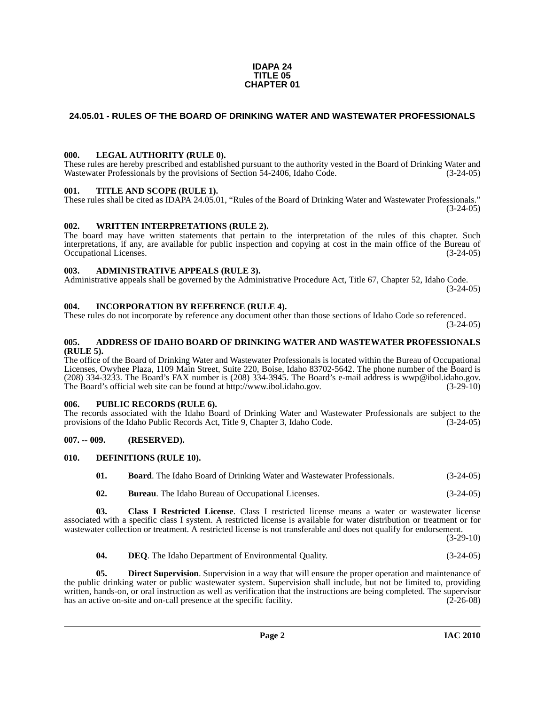#### **IDAPA 24 TITLE 05 CHAPTER 01**

### <span id="page-1-0"></span>**24.05.01 - RULES OF THE BOARD OF DRINKING WATER AND WASTEWATER PROFESSIONALS**

#### <span id="page-1-1"></span>**000. LEGAL AUTHORITY (RULE 0).**

These rules are hereby prescribed and established pursuant to the authority vested in the Board of Drinking Water and Wastewater Professionals by the provisions of Section 54-2406, Idaho Code. (3-24-05)

#### <span id="page-1-2"></span>**001. TITLE AND SCOPE (RULE 1).**

These rules shall be cited as IDAPA 24.05.01, "Rules of the Board of Drinking Water and Wastewater Professionals."  $(3-24-05)$ 

#### <span id="page-1-3"></span>**002. WRITTEN INTERPRETATIONS (RULE 2).**

The board may have written statements that pertain to the interpretation of the rules of this chapter. Such interpretations, if any, are available for public inspection and copying at cost in the main office of the Bureau of Occupational Licenses. (3-24-05)

#### <span id="page-1-4"></span>**003. ADMINISTRATIVE APPEALS (RULE 3).**

Administrative appeals shall be governed by the Administrative Procedure Act, Title 67, Chapter 52, Idaho Code. (3-24-05)

#### <span id="page-1-5"></span>**004. INCORPORATION BY REFERENCE (RULE 4).**

These rules do not incorporate by reference any document other than those sections of Idaho Code so referenced. (3-24-05)

#### <span id="page-1-6"></span>**005. ADDRESS OF IDAHO BOARD OF DRINKING WATER AND WASTEWATER PROFESSIONALS (RULE 5).**

[The office of the Board of Drinking Water and Wastewater Professionals is located within the Bureau of Occupational](mailto:wwp@ibol.idaho.gov)  Licenses, Owyhee Plaza, 1109 Main Street, Suite 220, Boise, Idaho 83702-5642. The phone number of the Board is (208) 334-3233. The Board's FAX number is (208) 334-3945. The Board's e-mail address is wwp@ibol.idaho.gov. [The Board's official web site can be found at h](mailto:wwp@ibol.idaho.gov)[ttp://www.ibol.idaho.gov. \(3-29-10\)](http://www.ibol.idaho.gov)

#### <span id="page-1-7"></span>**006. PUBLIC RECORDS (RULE 6).**

The records associated with the Idaho Board of Drinking Water and Wastewater Professionals are subject to the provisions of the Idaho Public Records Act, Title 9, Chapter 3, Idaho Code. (3-24-05)

#### <span id="page-1-8"></span>**007. -- 009. (RESERVED).**

#### <span id="page-1-9"></span>**010. DEFINITIONS (RULE 10).**

<span id="page-1-13"></span><span id="page-1-10"></span>

| 01. | <b>Board.</b> The Idaho Board of Drinking Water and Wastewater Professionals. | $(3-24-05)$ |
|-----|-------------------------------------------------------------------------------|-------------|
|     |                                                                               |             |

<span id="page-1-12"></span><span id="page-1-11"></span>**02. Bureau**. The Idaho Bureau of Occupational Licenses. (3-24-05)

**03. Class I Restricted License**. Class I restricted license means a water or wastewater license associated with a specific class I system. A restricted license is available for water distribution or treatment or for wastewater collection or treatment. A restricted license is not transferable and does not qualify for endorsement.

(3-29-10)

<span id="page-1-15"></span><span id="page-1-14"></span>**04. DEQ**. The Idaho Department of Environmental Quality. (3-24-05)

**05. Direct Supervision**. Supervision in a way that will ensure the proper operation and maintenance of the public drinking water or public wastewater system. Supervision shall include, but not be limited to, providing written, hands-on, or oral instruction as well as verification that the instructions are being completed. The supervisor has an active on-site and on-call presence at the specific facility. (2-26-08)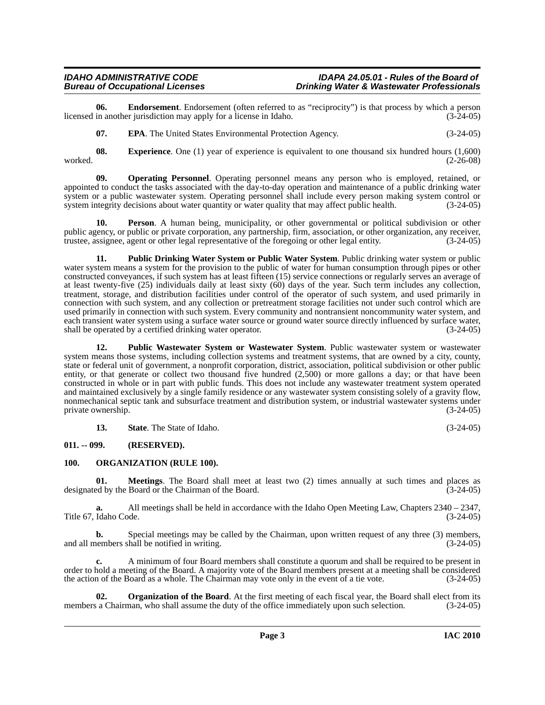**06. Endorsement**. Endorsement (often referred to as "reciprocity") is that process by which a person in another jurisdiction may apply for a license in Idaho. (3-24-05) licensed in another jurisdiction may apply for a license in Idaho.

<span id="page-2-5"></span><span id="page-2-4"></span><span id="page-2-3"></span><span id="page-2-2"></span>**07. EPA**. The United States Environmental Protection Agency. (3-24-05)

**08. Experience**. One (1) year of experience is equivalent to one thousand six hundred hours (1,600) (2-26-08) worked. (2-26-08)

**09. Operating Personnel**. Operating personnel means any person who is employed, retained, or appointed to conduct the tasks associated with the day-to-day operation and maintenance of a public drinking water system or a public wastewater system. Operating personnel shall include every person making system control or system integrity decisions about water quantity or water quality that may affect public health. (3-24-05)

<span id="page-2-7"></span>**10. Person**. A human being, municipality, or other governmental or political subdivision or other public agency, or public or private corporation, any partnership, firm, association, or other organization, any receiver, trustee, assignee, agent or other legal representative of the foregoing or other legal entity. (3-24-05)

<span id="page-2-8"></span>**11. Public Drinking Water System or Public Water System**. Public drinking water system or public water system means a system for the provision to the public of water for human consumption through pipes or other constructed conveyances, if such system has at least fifteen (15) service connections or regularly serves an average of at least twenty-five (25) individuals daily at least sixty (60) days of the year. Such term includes any collection, treatment, storage, and distribution facilities under control of the operator of such system, and used primarily in connection with such system, and any collection or pretreatment storage facilities not under such control which are used primarily in connection with such system. Every community and nontransient noncommunity water system, and each transient water system using a surface water source or ground water source directly influenced by surface water, shall be operated by a certified drinking water operator. (3-24-05) shall be operated by a certified drinking water operator.

<span id="page-2-9"></span>**12. Public Wastewater System or Wastewater System**. Public wastewater system or wastewater system means those systems, including collection systems and treatment systems, that are owned by a city, county, state or federal unit of government, a nonprofit corporation, district, association, political subdivision or other public entity, or that generate or collect two thousand five hundred (2,500) or more gallons a day; or that have been constructed in whole or in part with public funds. This does not include any wastewater treatment system operated and maintained exclusively by a single family residence or any wastewater system consisting solely of a gravity flow, nonmechanical septic tank and subsurface treatment and distribution system, or industrial wastewater systems under private ownership. (3-24-05)

<span id="page-2-6"></span>**13.** State. The State of Idaho. (3-24-05)

### <span id="page-2-0"></span>**011. -- 099. (RESERVED).**

#### <span id="page-2-1"></span>**100. ORGANIZATION (RULE 100).**

**01. Meetings**. The Board shall meet at least two (2) times annually at such times and places as ed by the Board or the Chairman of the Board. (3-24-05) designated by the Board or the Chairman of the Board.

**a.** All meetings shall be held in accordance with the Idaho Open Meeting Law, Chapters 2340 – 2347, Title 67, Idaho Code. (3-24-05)

**b.** Special meetings may be called by the Chairman, upon written request of any three (3) members, nembers shall be notified in writing. and all members shall be notified in writing.

**c.** A minimum of four Board members shall constitute a quorum and shall be required to be present in order to hold a meeting of the Board. A majority vote of the Board members present at a meeting shall be considered the action of the Board as a whole. The Chairman may vote only in the event of a tie vote. (3-24-05)

**Organization of the Board**. At the first meeting of each fiscal year, the Board shall elect from its members a Chairman, who shall assume the duty of the office immediately upon such selection. (3-24-05)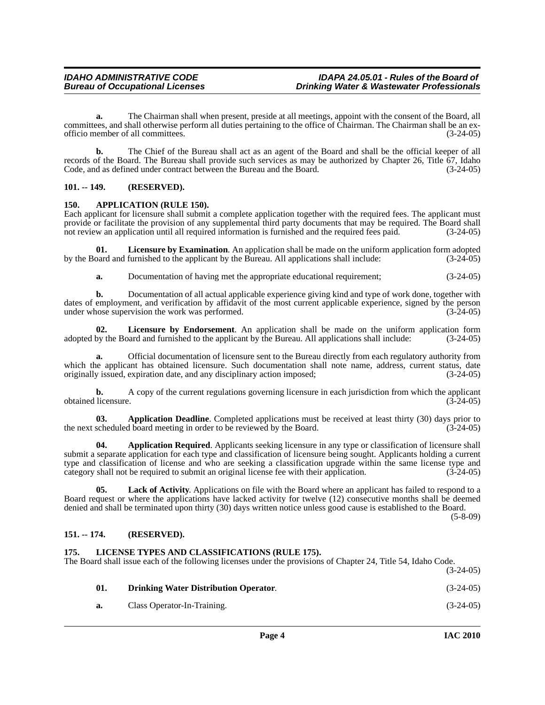**a.** The Chairman shall when present, preside at all meetings, appoint with the consent of the Board, all committees, and shall otherwise perform all duties pertaining to the office of Chairman. The Chairman shall be an exofficio member of all committees. (3-24-05)

**b.** The Chief of the Bureau shall act as an agent of the Board and shall be the official keeper of all records of the Board. The Bureau shall provide such services as may be authorized by Chapter 26, Title 67, Idaho Code, and as defined under contract between the Bureau and the Board. (3-24-05)

#### <span id="page-3-0"></span>**101. -- 149. (RESERVED).**

#### <span id="page-3-4"></span><span id="page-3-1"></span>**150. APPLICATION (RULE 150).**

Each applicant for licensure shall submit a complete application together with the required fees. The applicant must provide or facilitate the provision of any supplemental third party documents that may be required. The Board shall not review an application until all required information is furnished and the required fees paid. (3-24-05)

**01. Licensure by Examination**. An application shall be made on the uniform application form adopted by the Board and furnished to the applicant by the Bureau. All applications shall include: (3-24-05)

<span id="page-3-10"></span><span id="page-3-9"></span>**a.** Documentation of having met the appropriate educational requirement; (3-24-05)

**b.** Documentation of all actual applicable experience giving kind and type of work done, together with dates of employment, and verification by affidavit of the most current applicable experience, signed by the person under whose supervision the work was performed. (3-24-05)

**02. Licensure by Endorsement**. An application shall be made on the uniform application form adopted by the Board and furnished to the applicant by the Bureau. All applications shall include: (3-24-05)

**a.** Official documentation of licensure sent to the Bureau directly from each regulatory authority from which the applicant has obtained licensure. Such documentation shall note name, address, current status, date originally issued, expiration date, and any disciplinary action imposed; (3-24-05) originally issued, expiration date, and any disciplinary action imposed;

**b.** A copy of the current regulations governing licensure in each jurisdiction from which the applicant obtained licensure. (3-24-05)

<span id="page-3-5"></span>**03. Application Deadline**. Completed applications must be received at least thirty (30) days prior to scheduled board meeting in order to be reviewed by the Board. (3-24-05) the next scheduled board meeting in order to be reviewed by the Board.

<span id="page-3-6"></span>**04. Application Required**. Applicants seeking licensure in any type or classification of licensure shall submit a separate application for each type and classification of licensure being sought. Applicants holding a current type and classification of license and who are seeking a classification upgrade within the same license type and category shall not be required to submit an original license fee with their application. (3-24-05)

**05. Lack of Activity**. Applications on file with the Board where an applicant has failed to respond to a Board request or where the applications have lacked activity for twelve (12) consecutive months shall be deemed denied and shall be terminated upon thirty (30) days written notice unless good cause is established to the Board.

(5-8-09)

#### <span id="page-3-2"></span>**151. -- 174. (RESERVED).**

#### <span id="page-3-8"></span><span id="page-3-3"></span>**175. LICENSE TYPES AND CLASSIFICATIONS (RULE 175).**

The Board shall issue each of the following licenses under the provisions of Chapter 24, Title 54, Idaho Code. (3-24-05)

<span id="page-3-7"></span>

| 01. | <b>Drinking Water Distribution Operator.</b> | $(3-24-05)$ |
|-----|----------------------------------------------|-------------|
| а.  | Class Operator-In-Training.                  | $(3-24-05)$ |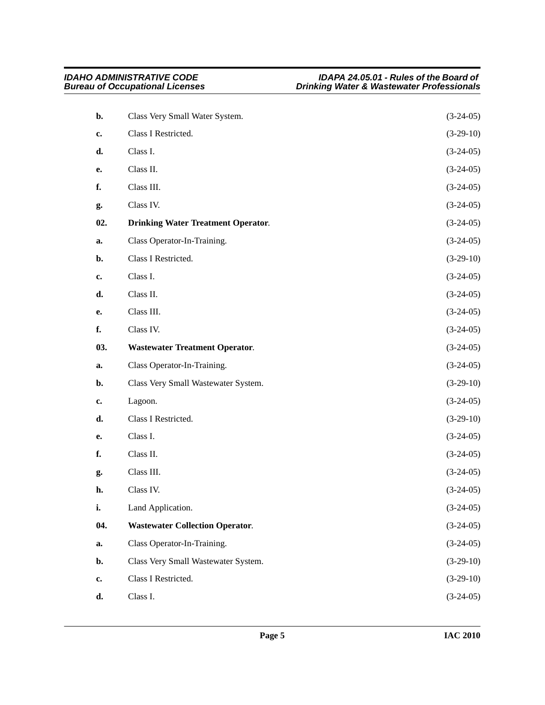<span id="page-4-2"></span><span id="page-4-1"></span><span id="page-4-0"></span>

| b.             | Class Very Small Water System.            | $(3-24-05)$ |
|----------------|-------------------------------------------|-------------|
| c.             | Class I Restricted.                       | $(3-29-10)$ |
| d.             | Class I.                                  | $(3-24-05)$ |
| е.             | Class II.                                 | $(3-24-05)$ |
| f.             | Class III.                                | $(3-24-05)$ |
| g.             | Class IV.                                 | $(3-24-05)$ |
| 02.            | <b>Drinking Water Treatment Operator.</b> | $(3-24-05)$ |
| a.             | Class Operator-In-Training.               | $(3-24-05)$ |
| $\mathbf{b}$ . | Class I Restricted.                       | $(3-29-10)$ |
| c.             | Class I.                                  | $(3-24-05)$ |
| d.             | Class II.                                 | $(3-24-05)$ |
| e.             | Class III.                                | $(3-24-05)$ |
| f.             | Class IV.                                 | $(3-24-05)$ |
| 03.            | <b>Wastewater Treatment Operator.</b>     | $(3-24-05)$ |
| a.             | Class Operator-In-Training.               | $(3-24-05)$ |
| $\mathbf{b}$ . | Class Very Small Wastewater System.       | $(3-29-10)$ |
| c.             | Lagoon.                                   | $(3-24-05)$ |
| d.             | Class I Restricted.                       |             |
| e.             |                                           | $(3-29-10)$ |
|                | Class I.                                  | $(3-24-05)$ |
| f.             | Class II.                                 | $(3-24-05)$ |
| g.             | Class III.                                | $(3-24-05)$ |
| h.             | Class IV.                                 | $(3-24-05)$ |
| i.             | Land Application.                         | $(3-24-05)$ |
| 04.            | <b>Wastewater Collection Operator.</b>    | $(3-24-05)$ |
| a.             | Class Operator-In-Training.               | $(3-24-05)$ |
| b.             | Class Very Small Wastewater System.       | $(3-29-10)$ |
| c.             | Class I Restricted.                       | $(3-29-10)$ |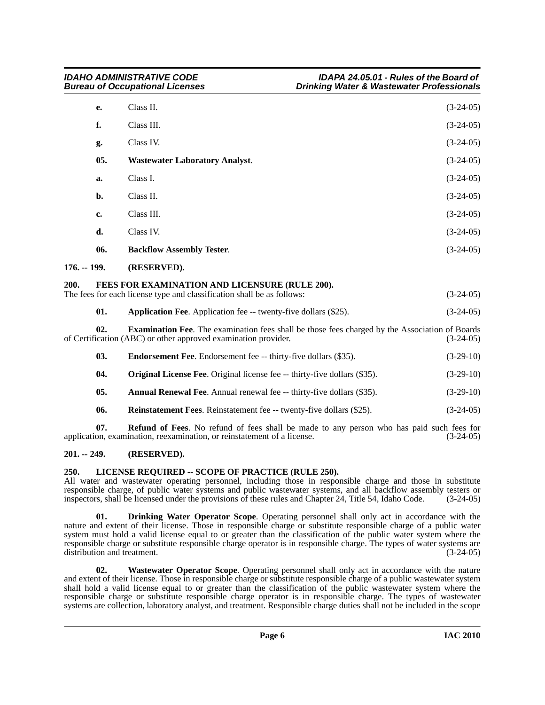<span id="page-5-8"></span>

|               | e.  | Class II.                                                                                                                                                        | $(3-24-05)$ |
|---------------|-----|------------------------------------------------------------------------------------------------------------------------------------------------------------------|-------------|
|               | f.  | Class III.                                                                                                                                                       | $(3-24-05)$ |
|               | g.  | Class IV.                                                                                                                                                        | $(3-24-05)$ |
|               | 05. | <b>Wastewater Laboratory Analyst.</b>                                                                                                                            | $(3-24-05)$ |
|               | a.  | Class I.                                                                                                                                                         | $(3-24-05)$ |
|               | b.  | Class II.                                                                                                                                                        | $(3-24-05)$ |
|               | c.  | Class III.                                                                                                                                                       | $(3-24-05)$ |
|               | d.  | Class IV.                                                                                                                                                        | $(3-24-05)$ |
|               | 06. | <b>Backflow Assembly Tester.</b>                                                                                                                                 | $(3-24-05)$ |
| $176. - 199.$ |     | (RESERVED).                                                                                                                                                      |             |
| 200.          |     | FEES FOR EXAMINATION AND LICENSURE (RULE 200).<br>The fees for each license type and classification shall be as follows:                                         | $(3-24-05)$ |
|               | 01. | Application Fee. Application fee -- twenty-five dollars (\$25).                                                                                                  | $(3-24-05)$ |
|               | 02. | Examination Fee. The examination fees shall be those fees charged by the Association of Boards<br>of Certification (ABC) or other approved examination provider. | $(3-24-05)$ |
|               | 03. | <b>Endorsement Fee.</b> Endorsement fee -- thirty-five dollars (\$35).                                                                                           | $(3-29-10)$ |
|               |     | $\mathbf{a}$ , and $\mathbf{a}$ , and $\mathbf{a}$ , and $\mathbf{a}$ , and $\mathbf{a}$ , and $\mathbf{a}$ , and $\mathbf{a}$                                   |             |

- <span id="page-5-6"></span><span id="page-5-4"></span><span id="page-5-1"></span><span id="page-5-0"></span>**04.** Original License Fee. Original license fee -- thirty-five dollars (\$35). (3-29-10)
- **05. Annual Renewal Fee**. Annual renewal fee -- thirty-five dollars (\$35). (3-29-10)
- **06.** Reinstatement Fees. Reinstatement fee -- twenty-five dollars (\$25). (3-24-05)

**07. Refund of Fees**. No refund of fees shall be made to any person who has paid such fees for application, examination, reexamination, or reinstatement of a license. (3-24-05)

### <span id="page-5-2"></span>**201. -- 249. (RESERVED).**

#### <span id="page-5-7"></span><span id="page-5-3"></span>**250. LICENSE REQUIRED -- SCOPE OF PRACTICE (RULE 250).**

All water and wastewater operating personnel, including those in responsible charge and those in substitute responsible charge, of public water systems and public wastewater systems, and all backflow assembly testers or inspectors, shall be licensed under the provisions of these rules and Chapter 24, Title 54, Idaho Code. (3-24-05)

<span id="page-5-5"></span>**01. Drinking Water Operator Scope**. Operating personnel shall only act in accordance with the nature and extent of their license. Those in responsible charge or substitute responsible charge of a public water system must hold a valid license equal to or greater than the classification of the public water system where the responsible charge or substitute responsible charge operator is in responsible charge. The types of water systems are distribution and treatment. (3-24-05)

<span id="page-5-9"></span>**02. Wastewater Operator Scope**. Operating personnel shall only act in accordance with the nature and extent of their license. Those in responsible charge or substitute responsible charge of a public wastewater system shall hold a valid license equal to or greater than the classification of the public wastewater system where the responsible charge or substitute responsible charge operator is in responsible charge. The types of wastewater systems are collection, laboratory analyst, and treatment. Responsible charge duties shall not be included in the scope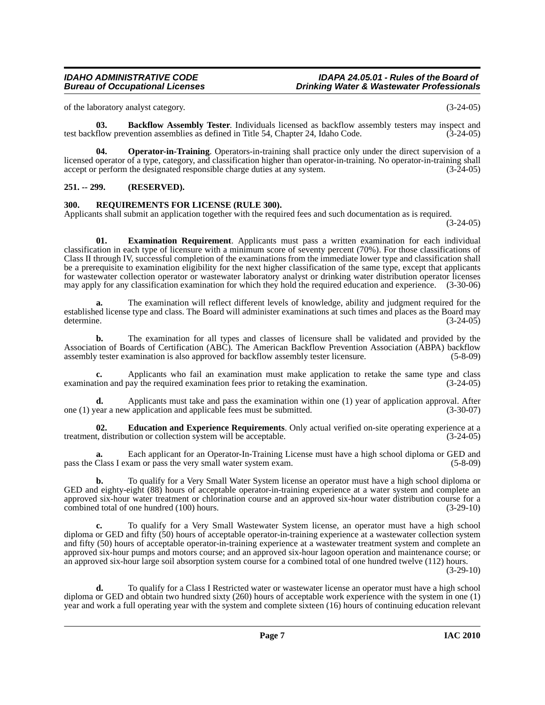of the laboratory analyst category. (3-24-05)

<span id="page-6-2"></span>**03. Backflow Assembly Tester**. Individuals licensed as backflow assembly testers may inspect and flow prevention assemblies as defined in Title 54. Chapter 24. Idaho Code. (3-24-05) test backflow prevention assemblies as defined in Title 54, Chapter 24, Idaho Code.

<span id="page-6-5"></span>**04. Operator-in-Training**. Operators-in-training shall practice only under the direct supervision of a licensed operator of a type, category, and classification higher than operator-in-training. No operator-in-training shall accept or perform the designated responsible charge duties at any system. (3-24-05)

#### <span id="page-6-0"></span>**251. -- 299. (RESERVED).**

#### <span id="page-6-6"></span><span id="page-6-1"></span>**300. REQUIREMENTS FOR LICENSE (RULE 300).**

Applicants shall submit an application together with the required fees and such documentation as is required.

(3-24-05)

<span id="page-6-4"></span>**01. Examination Requirement**. Applicants must pass a written examination for each individual classification in each type of licensure with a minimum score of seventy percent (70%). For those classifications of Class II through IV, successful completion of the examinations from the immediate lower type and classification shall be a prerequisite to examination eligibility for the next higher classification of the same type, except that applicants for wastewater collection operator or wastewater laboratory analyst or drinking water distribution operator licenses may apply for any classification examination for which they hold the required education and experience. (3-30-06)

**a.** The examination will reflect different levels of knowledge, ability and judgment required for the established license type and class. The Board will administer examinations at such times and places as the Board may determine. (3-24-05)

**b.** The examination for all types and classes of licensure shall be validated and provided by the Association of Boards of Certification (ABC). The American Backflow Prevention Association (ABPA) backflow assembly tester examination is also approved for backflow assembly tester licensure. (5-8-09)

**c.** Applicants who fail an examination must make application to retake the same type and class examination and pay the required examination fees prior to retaking the examination. (3-24-05)

**d.** Applicants must take and pass the examination within one (1) year of application approval. After ear a new application and applicable fees must be submitted. (3-30-07) one  $(1)$  year a new application and applicable fees must be submitted.

<span id="page-6-3"></span>**02. Education and Experience Requirements**. Only actual verified on-site operating experience at a treatment, distribution or collection system will be acceptable. (3-24-05)

**a.** Each applicant for an Operator-In-Training License must have a high school diploma or GED and pass the Class I exam or pass the very small water system exam. (5-8-09)

**b.** To qualify for a Very Small Water System license an operator must have a high school diploma or GED and eighty-eight (88) hours of acceptable operator-in-training experience at a water system and complete an approved six-hour water treatment or chlorination course and an approved six-hour water distribution course for a combined total of one hundred (100) hours. (3-29-10) combined total of one hundred (100) hours.

**c.** To qualify for a Very Small Wastewater System license, an operator must have a high school diploma or GED and fifty (50) hours of acceptable operator-in-training experience at a wastewater collection system and fifty (50) hours of acceptable operator-in-training experience at a wastewater treatment system and complete an approved six-hour pumps and motors course; and an approved six-hour lagoon operation and maintenance course; or an approved six-hour large soil absorption system course for a combined total of one hundred twelve (112) hours. (3-29-10)

**d.** To qualify for a Class I Restricted water or wastewater license an operator must have a high school diploma or GED and obtain two hundred sixty (260) hours of acceptable work experience with the system in one (1) year and work a full operating year with the system and complete sixteen (16) hours of continuing education relevant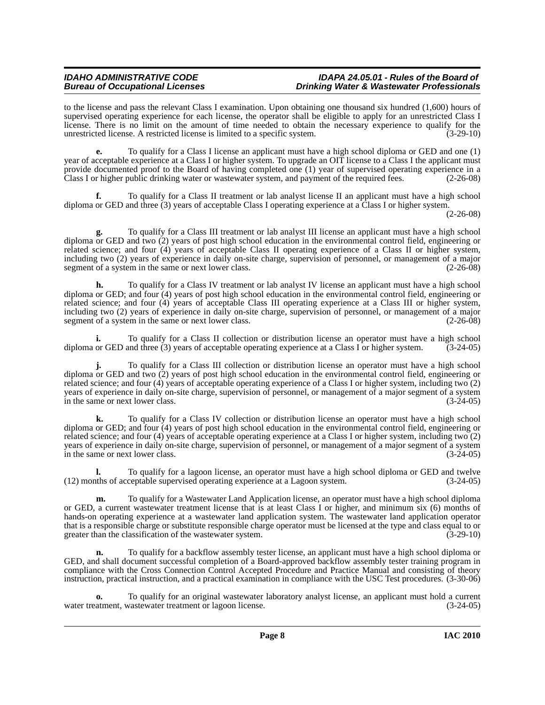#### *IDAHO ADMINISTRATIVE CODE IDAPA 24.05.01 - Rules of the Board of*  **Drinking Water & Wastewater Professionals**

to the license and pass the relevant Class I examination. Upon obtaining one thousand six hundred (1,600) hours of supervised operating experience for each license, the operator shall be eligible to apply for an unrestricted Class I license. There is no limit on the amount of time needed to obtain the necessary experience to qualify for the unrestricted license. A restricted license is limited to a specific system.  $(3-29-10)$ unrestricted license. A restricted license is limited to a specific system. (3-29-10)

**e.** To qualify for a Class I license an applicant must have a high school diploma or GED and one (1) year of acceptable experience at a Class I or higher system. To upgrade an OIT license to a Class I the applicant must provide documented proof to the Board of having completed one (1) year of supervised operating experience in a Class I or higher public drinking water or wastewater system, and payment of the required fees. (2-26-08)

**f.** To qualify for a Class II treatment or lab analyst license II an applicant must have a high school diploma or GED and three (3) years of acceptable Class I operating experience at a Class I or higher system.

(2-26-08)

**g.** To qualify for a Class III treatment or lab analyst III license an applicant must have a high school diploma or GED and two (2) years of post high school education in the environmental control field, engineering or related science; and four (4) years of acceptable Class II operating experience of a Class II or higher system, including two (2) years of experience in daily on-site charge, supervision of personnel, or management of a major segment of a system in the same or next lower class. (2-26-08)

**h.** To qualify for a Class IV treatment or lab analyst IV license an applicant must have a high school diploma or GED; and four (4) years of post high school education in the environmental control field, engineering or related science; and four (4) years of acceptable Class III operating experience at a Class III or higher system, including two (2) years of experience in daily on-site charge, supervision of personnel, or management of a major segment of a system in the same or next lower class. (2-26-08)

**i.** To qualify for a Class II collection or distribution license an operator must have a high school or GED and three (3) vears of acceptable operating experience at a Class I or higher system. (3-24-05) diploma or GED and three (3) years of acceptable operating experience at a Class I or higher system.

**j.** To qualify for a Class III collection or distribution license an operator must have a high school diploma or GED and two (2) years of post high school education in the environmental control field, engineering or related science; and four (4) years of acceptable operating experience of a Class I or higher system, including two (2) years of experience in daily on-site charge, supervision of personnel, or management of a major segment of a system in the same or next lower class. (3-24-05)

**k.** To qualify for a Class IV collection or distribution license an operator must have a high school diploma or GED; and four (4) years of post high school education in the environmental control field, engineering or related science; and four (4) years of acceptable operating experience at a Class I or higher system, including two (2) years of experience in daily on-site charge, supervision of personnel, or management of a major segment of a system<br>in the same or next lower class. in the same or next lower class.

**l.** To qualify for a lagoon license, an operator must have a high school diploma or GED and twelve (12) months of acceptable supervised operating experience at a Lagoon system. (3-24-05)

**m.** To qualify for a Wastewater Land Application license, an operator must have a high school diploma or GED, a current wastewater treatment license that is at least Class I or higher, and minimum six (6) months of hands-on operating experience at a wastewater land application system. The wastewater land application operator that is a responsible charge or substitute responsible charge operator must be licensed at the type and class equal to or greater than the classification of the wastewater system. (3-29-10) greater than the classification of the wastewater system.

**n.** To qualify for a backflow assembly tester license, an applicant must have a high school diploma or GED, and shall document successful completion of a Board-approved backflow assembly tester training program in compliance with the Cross Connection Control Accepted Procedure and Practice Manual and consisting of theory instruction, practical instruction, and a practical examination in compliance with the USC Test procedures. (3-30-06)

**o.** To qualify for an original wastewater laboratory analyst license, an applicant must hold a current water treatment, wastewater treatment or lagoon license. (3-24-05)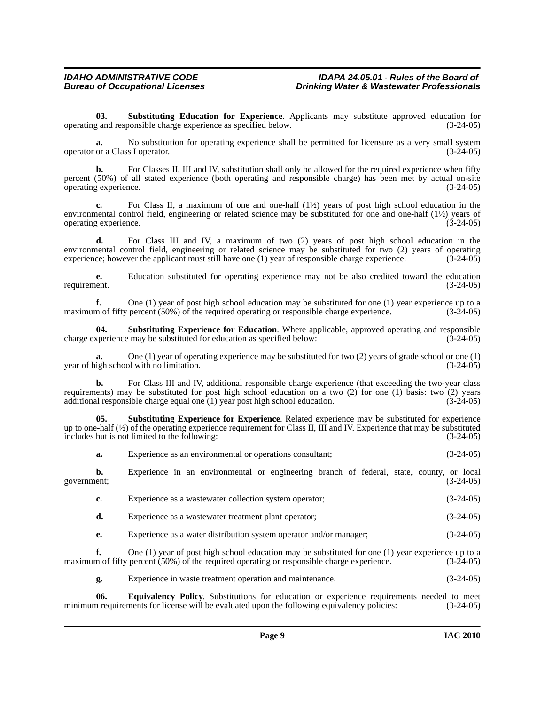<span id="page-8-1"></span>**03. Substituting Education for Experience**. Applicants may substitute approved education for operating and responsible charge experience as specified below. (3-24-05)

**a.** No substitution for operating experience shall be permitted for licensure as a very small system operator or a Class I operator. (3-24-05)

**b.** For Classes II, III and IV, substitution shall only be allowed for the required experience when fifty percent (50%) of all stated experience (both operating and responsible charge) has been met by actual on-site operating experience. (3-24-05)

**c.** For Class II, a maximum of one and one-half (1½) years of post high school education in the environmental control field, engineering or related science may be substituted for one and one-half  $(1/2)$  years of operating experience. (3-24-05)

**d.** For Class III and IV, a maximum of two (2) years of post high school education in the environmental control field, engineering or related science may be substituted for two (2) years of operating experience; however the applicant must still have one (1) year of responsible charge experience. (3-24-05)

**e.** Education substituted for operating experience may not be also credited toward the education requirement. (3-24-05)

**f.** One (1) year of post high school education may be substituted for one (1) year experience up to a maximum of fifty percent (50%) of the required operating or responsible charge experience.  $(3-24-05)$ 

<span id="page-8-2"></span>**04. Substituting Experience for Education**. Where applicable, approved operating and responsible charge experience may be substituted for education as specified below: (3-24-05)

**a.** One (1) year of operating experience may be substituted for two (2) years of grade school or one (1) year of high school with no limitation. (3-24-05)

**b.** For Class III and IV, additional responsible charge experience (that exceeding the two-year class requirements) may be substituted for post high school education on a two (2) for one (1) basis: two (2) years additional responsible charge equal one (1) year post high school education. (3-24-05)

<span id="page-8-3"></span>**05. Substituting Experience for Experience**. Related experience may be substituted for experience up to one-half  $\langle \frac{1}{2} \rangle$  of the operating experience requirement for Class II, III and IV. Experience that may be substituted includes but is not limited to the following: (3-24-05)

|             | a. | Experience as an environmental or operations consultant;                                                                                                                                            | $(3-24-05)$ |
|-------------|----|-----------------------------------------------------------------------------------------------------------------------------------------------------------------------------------------------------|-------------|
| government; | b. | Experience in an environmental or engineering branch of federal, state, county, or local                                                                                                            | $(3-24-05)$ |
|             | c. | Experience as a wastewater collection system operator;                                                                                                                                              | $(3-24-05)$ |
|             | d. | Experience as a wastewater treatment plant operator;                                                                                                                                                | $(3-24-05)$ |
|             | е. | Experience as a water distribution system operator and/or manager;                                                                                                                                  | $(3-24-05)$ |
|             |    | One $(1)$ year of post high school education may be substituted for one $(1)$ year experience up to a<br>maximum of fifty percent (50%) of the required operating or responsible charge experience. | $(3-24-05)$ |

<span id="page-8-0"></span>**g.** Experience in waste treatment operation and maintenance. (3-24-05)

**06. Equivalency Policy**. Substitutions for education or experience requirements needed to meet minimum requirements for license will be evaluated upon the following equivalency policies: (3-24-05)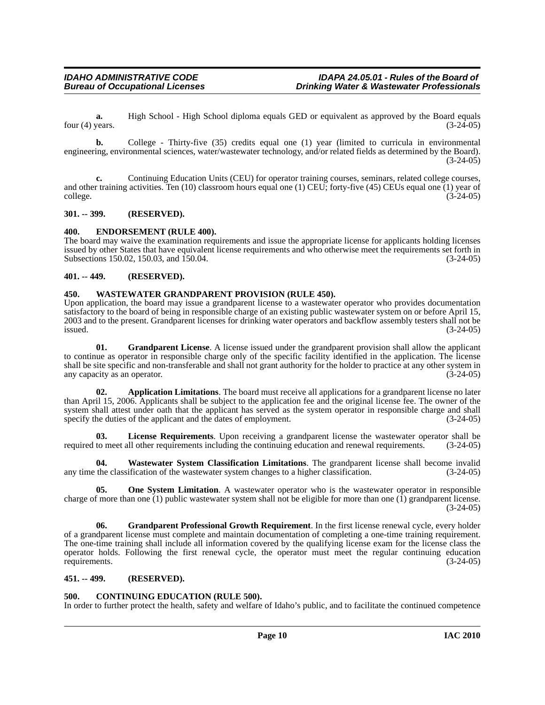**a.** High School - High School diploma equals GED or equivalent as approved by the Board equals four (4) years. (3-24-05)

**b.** College - Thirty-five (35) credits equal one (1) year (limited to curricula in environmental engineering, environmental sciences, water/wastewater technology, and/or related fields as determined by the Board).  $(3-24-05)$ 

**c.** Continuing Education Units (CEU) for operator training courses, seminars, related college courses, and other training activities. Ten (10) classroom hours equal one (1) CEU; forty-five (45) CEUs equal one (1) year of college. (3-24-05)

#### <span id="page-9-0"></span>**301. -- 399. (RESERVED).**

#### <span id="page-9-8"></span><span id="page-9-1"></span>**400. ENDORSEMENT (RULE 400).**

The board may waive the examination requirements and issue the appropriate license for applicants holding licenses issued by other States that have equivalent license requirements and who otherwise meet the requirements set forth in Subsections 150.02, 150.03, and 150.04. (3-24-05)

### <span id="page-9-2"></span>**401. -- 449. (RESERVED).**

### <span id="page-9-13"></span><span id="page-9-3"></span>**450. WASTEWATER GRANDPARENT PROVISION (RULE 450).**

Upon application, the board may issue a grandparent license to a wastewater operator who provides documentation satisfactory to the board of being in responsible charge of an existing public wastewater system on or before April 15, 2003 and to the present. Grandparent licenses for drinking water operators and backflow assembly testers shall not be issued.  $\frac{1}{3}$  issued. (3-24-05)

<span id="page-9-9"></span>**01. Grandparent License**. A license issued under the grandparent provision shall allow the applicant to continue as operator in responsible charge only of the specific facility identified in the application. The license shall be site specific and non-transferable and shall not grant authority for the holder to practice at any other system in any capacity as an operator. (3-24-05) any capacity as an operator.

<span id="page-9-6"></span>**02. Application Limitations**. The board must receive all applications for a grandparent license no later than April 15, 2006. Applicants shall be subject to the application fee and the original license fee. The owner of the system shall attest under oath that the applicant has served as the system operator in responsible charge and shall specify the duties of the applicant and the dates of employment. (3-24-05)

<span id="page-9-11"></span>**03. License Requirements**. Upon receiving a grandparent license the wastewater operator shall be required to meet all other requirements including the continuing education and renewal requirements. (3-24-05)

<span id="page-9-14"></span>**04. Wastewater System Classification Limitations**. The grandparent license shall become invalid any time the classification of the wastewater system changes to a higher classification. (3-24-05)

<span id="page-9-12"></span>**05.** One System Limitation. A wastewater operator who is the wastewater operator in responsible charge of more than one  $(1)$  public wastewater system shall not be eligible for more than one  $(1)$  grandparent license. (3-24-05)

<span id="page-9-10"></span>**06.** Grandparent Professional Growth Requirement. In the first license renewal cycle, every holder of a grandparent license must complete and maintain documentation of completing a one-time training requirement. The one-time training shall include all information covered by the qualifying license exam for the license class the operator holds. Following the first renewal cycle, the operator must meet the regular continuing education requirements. (3-24-05)

#### <span id="page-9-4"></span>**451. -- 499. (RESERVED).**

#### <span id="page-9-7"></span><span id="page-9-5"></span>**500. CONTINUING EDUCATION (RULE 500).**

In order to further protect the health, safety and welfare of Idaho's public, and to facilitate the continued competence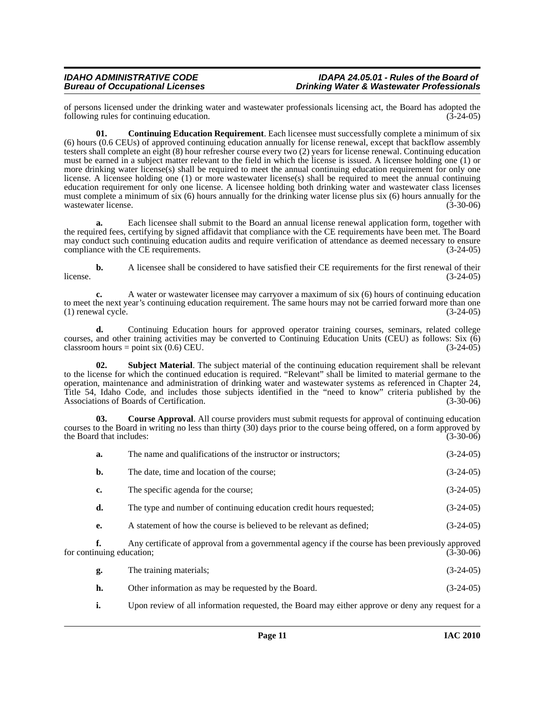of persons licensed under the drinking water and wastewater professionals licensing act, the Board has adopted the following rules for continuing education. (3-24-05) following rules for continuing education.

<span id="page-10-0"></span>**01. Continuing Education Requirement**. Each licensee must successfully complete a minimum of six (6) hours (0.6 CEUs) of approved continuing education annually for license renewal, except that backflow assembly testers shall complete an eight (8) hour refresher course every two (2) years for license renewal. Continuing education must be earned in a subject matter relevant to the field in which the license is issued. A licensee holding one (1) or more drinking water license(s) shall be required to meet the annual continuing education requirement for only one license. A licensee holding one (1) or more wastewater license(s) shall be required to meet the annual continuing education requirement for only one license. A licensee holding both drinking water and wastewater class licenses must complete a minimum of six (6) hours annually for the drinking water license plus six (6) hours annually for the wastewater license. (3-30-06)

Each licensee shall submit to the Board an annual license renewal application form, together with the required fees, certifying by signed affidavit that compliance with the CE requirements have been met. The Board may conduct such continuing education audits and require verification of attendance as deemed necessary to ensure compliance with the CE requirements. (3-24-05) compliance with the CE requirements.

**b.** A licensee shall be considered to have satisfied their CE requirements for the first renewal of their  $l$  license.  $(3-24-05)$ 

**c.** A water or wastewater licensee may carryover a maximum of six (6) hours of continuing education to meet the next year's continuing education requirement. The same hours may not be carried forward more than one  $(1)$  renewal cycle.  $(3-24-05)$ 

**d.** Continuing Education hours for approved operator training courses, seminars, related college courses, and other training activities may be converted to Continuing Education Units (CEU) as follows: Six (6) classroom hours = point six (0.6) CEU. (3-24-05)

<span id="page-10-2"></span>**02. Subject Material**. The subject material of the continuing education requirement shall be relevant to the license for which the continued education is required. "Relevant" shall be limited to material germane to the operation, maintenance and administration of drinking water and wastewater systems as referenced in Chapter 24, Title 54, Idaho Code, and includes those subjects identified in the "need to know" criteria published by the Associations of Boards of Certification. (3-30-06)

<span id="page-10-1"></span>**03. Course Approval**. All course providers must submit requests for approval of continuing education courses to the Board in writing no less than thirty (30) days prior to the course being offered, on a form approved by the Board that includes: (3-30-06)

| a.                        | The name and qualifications of the instructor or instructors;                                     | $(3-24-05)$ |
|---------------------------|---------------------------------------------------------------------------------------------------|-------------|
| b.                        | The date, time and location of the course;                                                        | $(3-24-05)$ |
| c.                        | The specific agenda for the course;                                                               | $(3-24-05)$ |
| d.                        | The type and number of continuing education credit hours requested;                               | $(3-24-05)$ |
| e.                        | A statement of how the course is believed to be relevant as defined;                              | $(3-24-05)$ |
| for continuing education; | Any certificate of approval from a governmental agency if the course has been previously approved | $(3-30-06)$ |

| g. | The training materials;                             | $(3-24-05)$ |
|----|-----------------------------------------------------|-------------|
| h. | Other information as may be requested by the Board. | $(3-24-05)$ |

**i.** Upon review of all information requested, the Board may either approve or deny any request for a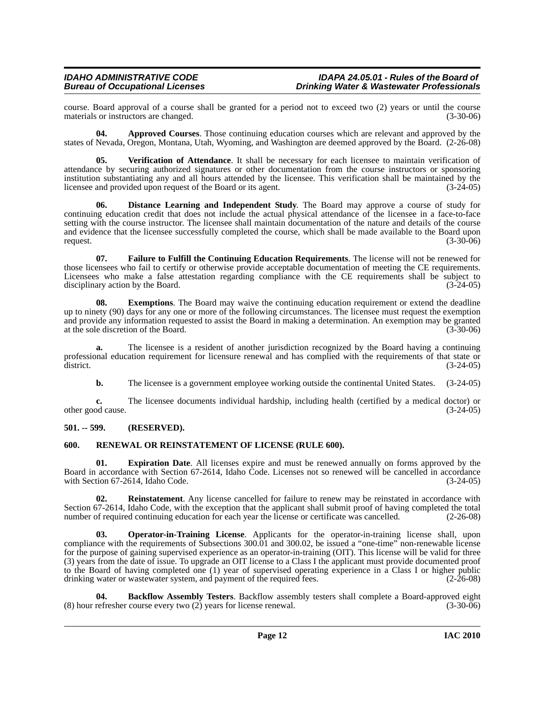#### *IDAHO ADMINISTRATIVE CODE IDAPA 24.05.01 - Rules of the Board of*  **Drinking Water & Wastewater Professionals**

course. Board approval of a course shall be granted for a period not to exceed two (2) years or until the course materials or instructors are changed.

<span id="page-11-2"></span>**04. Approved Courses**. Those continuing education courses which are relevant and approved by the states of Nevada, Oregon, Montana, Utah, Wyoming, and Washington are deemed approved by the Board. (2-26-08)

<span id="page-11-11"></span>**05. Verification of Attendance**. It shall be necessary for each licensee to maintain verification of attendance by securing authorized signatures or other documentation from the course instructors or sponsoring institution substantiating any and all hours attended by the licensee. This verification shall be maintained by the licensee and provided upon request of the Board or its agent. (3-24-05) licensee and provided upon request of the Board or its agent.

<span id="page-11-4"></span>**06. Distance Learning and Independent Study**. The Board may approve a course of study for continuing education credit that does not include the actual physical attendance of the licensee in a face-to-face setting with the course instructor. The licensee shall maintain documentation of the nature and details of the course and evidence that the licensee successfully completed the course, which shall be made available to the Board upon request. (3-30-06) request.  $(3-30-06)$ 

<span id="page-11-7"></span>**07. Failure to Fulfill the Continuing Education Requirements**. The license will not be renewed for those licensees who fail to certify or otherwise provide acceptable documentation of meeting the CE requirements. Licensees who make a false attestation regarding compliance with the CE requirements shall be subject to disciplinary action by the Board. (3-24-05)

<span id="page-11-5"></span>**08.** Exemptions. The Board may waive the continuing education requirement or extend the deadline up to ninety (90) days for any one or more of the following circumstances. The licensee must request the exemption and provide any information requested to assist the Board in making a determination. An exemption may be granted at the sole discretion of the Board. (3-30-06) at the sole discretion of the Board.

**a.** The licensee is a resident of another jurisdiction recognized by the Board having a continuing professional education requirement for licensure renewal and has complied with the requirements of that state or  $\frac{d}{dt}$  district. (3-24-05)

**b.** The licensee is a government employee working outside the continental United States.  $(3-24-05)$ 

**c.** The licensee documents individual hardship, including health (certified by a medical doctor) or od cause.  $(3-24-05)$ other good cause.

#### <span id="page-11-0"></span>**501. -- 599. (RESERVED).**

#### <span id="page-11-10"></span><span id="page-11-1"></span>**600. RENEWAL OR REINSTATEMENT OF LICENSE (RULE 600).**

<span id="page-11-6"></span>**01. Expiration Date**. All licenses expire and must be renewed annually on forms approved by the Board in accordance with Section 67-2614, Idaho Code. Licenses not so renewed will be cancelled in accordance with Section 67-2614, Idaho Code. (3-24-05)

<span id="page-11-9"></span>**02. Reinstatement**. Any license cancelled for failure to renew may be reinstated in accordance with Section 67-2614, Idaho Code, with the exception that the applicant shall submit proof of having completed the total number of required continuing education for each year the license or certificate was cancelled.  $(2-26-08)$ 

<span id="page-11-8"></span>**03. Operator-in-Training License**. Applicants for the operator-in-training license shall, upon compliance with the requirements of Subsections 300.01 and 300.02, be issued a "one-time" non-renewable license for the purpose of gaining supervised experience as an operator-in-training (OIT). This license will be valid for three (3) years from the date of issue. To upgrade an OIT license to a Class I the applicant must provide documented proof to the Board of having completed one (1) year of supervised operating experience in a Class I or higher public drinking water or wastewater system, and payment of the required fees. (2-26-08)

<span id="page-11-3"></span>**04. Backflow Assembly Testers**. Backflow assembly testers shall complete a Board-approved eight (8) hour refresher course every two (2) years for license renewal. (3-30-06)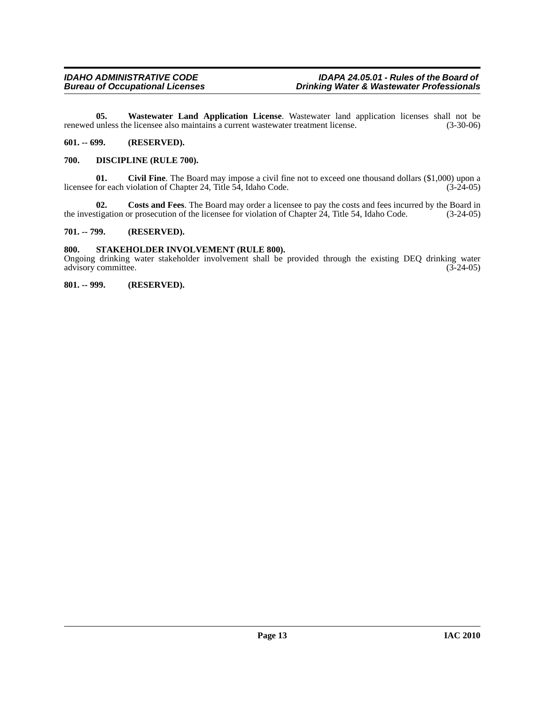<span id="page-12-5"></span>**05. Wastewater Land Application License**. Wastewater land application licenses shall not be renewed unless the licensee also maintains a current wastewater treatment license. (3-30-06)

#### <span id="page-12-0"></span>**601. -- 699. (RESERVED).**

#### <span id="page-12-1"></span>**700. DISCIPLINE (RULE 700).**

**01.** Civil Fine. The Board may impose a civil fine not to exceed one thousand dollars (\$1,000) upon a for each violation of Chapter 24, Title 54, Idaho Code. (3-24-05) licensee for each violation of Chapter 24, Title  $5\overline{4}$ , Idaho Code.

**02.** Costs and Fees. The Board may order a licensee to pay the costs and fees incurred by the Board in tigation or prosecution of the licensee for violation of Chapter 24, Title 54, Idaho Code. (3-24-05) the investigation or prosecution of the licensee for violation of Chapter  $24$ , Title 54, Idaho Code.

#### <span id="page-12-2"></span>**701. -- 799. (RESERVED).**

#### <span id="page-12-3"></span>**800. STAKEHOLDER INVOLVEMENT (RULE 800).**

Ongoing drinking water stakeholder involvement shall be provided through the existing DEQ drinking water advisory committee. (3-24-05) advisory committee.

#### <span id="page-12-4"></span>**801. -- 999. (RESERVED).**